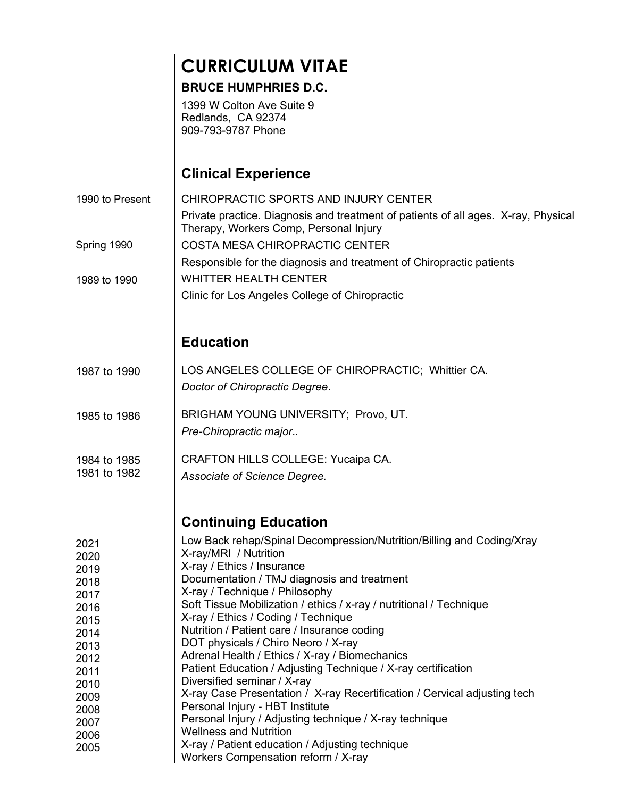# CURRICULUM VITAE

#### BRUCE HUMPHRIES D.C.

1399 W Colton Ave Suite 9 Redlands, CA 92374 909-793-9787 Phone

## Clinical Experience

CHIROPRACTIC SPORTS AND INJURY CENTER Private practice. Diagnosis and treatment of patients of all ages. X-ray, Physical Therapy, Workers Comp, Personal Injury COSTA MESA CHIROPRACTIC CENTER Responsible for the diagnosis and treatment of Chiropractic patients WHITTER HEALTH CENTER Clinic for Los Angeles College of Chiropractic Education LOS ANGELES COLLEGE OF CHIROPRACTIC; Whittier CA. Doctor of Chiropractic Degree. BRIGHAM YOUNG UNIVERSITY; Provo, UT. Pre-Chiropractic major.. CRAFTON HILLS COLLEGE: Yucaipa CA. Associate of Science Degree. Continuing Education Low Back rehap/Spinal Decompression/Nutrition/Billing and Coding/Xray X-ray/MRI / Nutrition X-ray / Ethics / Insurance Documentation / TMJ diagnosis and treatment X-ray / Technique / Philosophy Soft Tissue Mobilization / ethics / x-ray / nutritional / Technique X-ray / Ethics / Coding / Technique Nutrition / Patient care / Insurance coding DOT physicals / Chiro Neoro / X-ray Adrenal Health / Ethics / X-ray / Biomechanics Patient Education / Adjusting Technique / X-ray certification Diversified seminar / X-ray X-ray Case Presentation / X-ray Recertification / Cervical adjusting tech Personal Injury - HBT Institute Personal Injury / Adjusting technique / X-ray technique Wellness and Nutrition X-ray / Patient education / Adjusting technique 1990 to Present Spring 1990 1989 to 1990 1987 to 1990 1985 to 1986 1984 to 1985 1981 to 1982 2021 2020 2019 2018 2017 2016 2015 2014 2013 2012 2011 2010 2009 2008 2007 2006 2005

Workers Compensation reform / X-ray